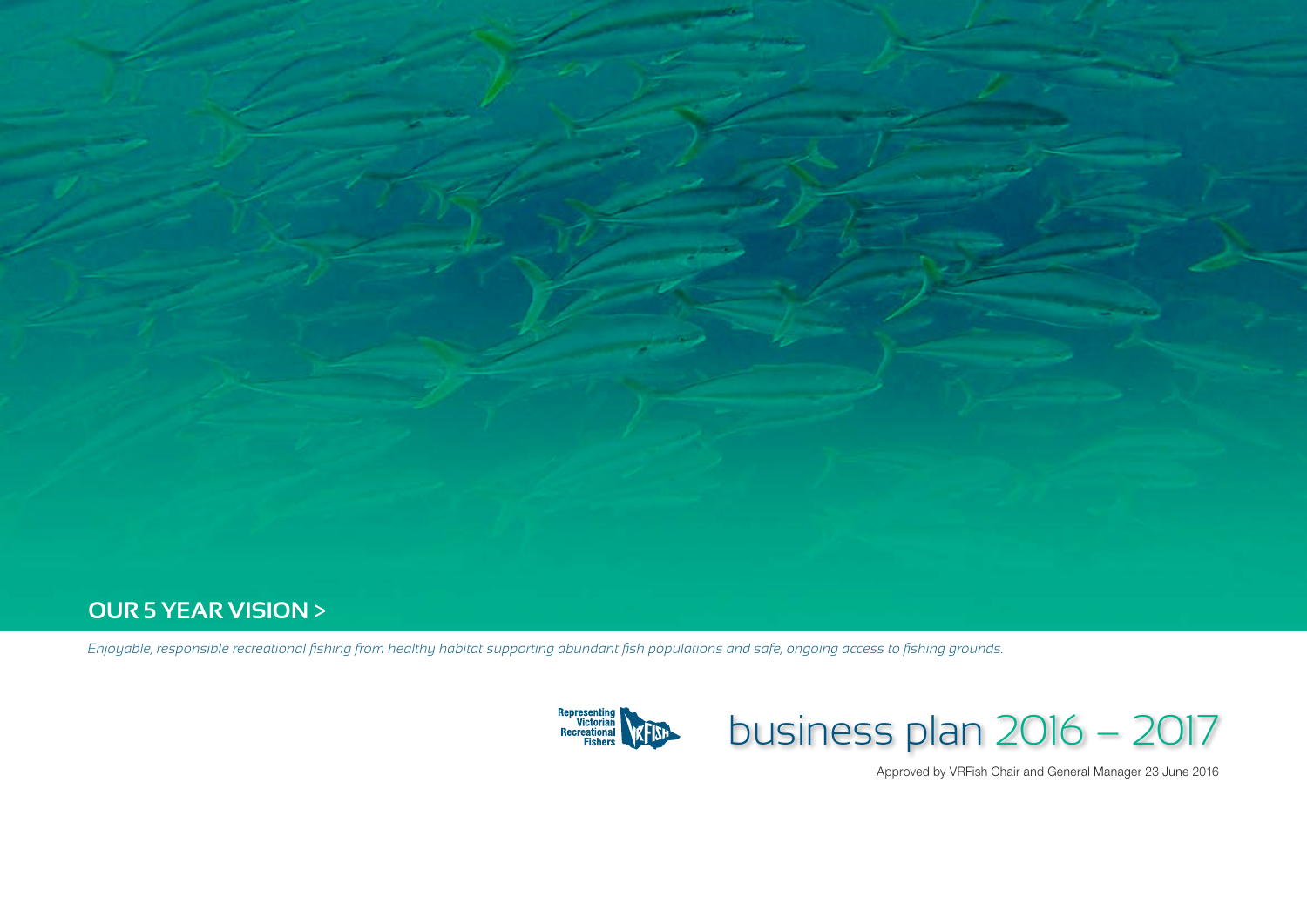

### **our 5 year vision** >

*Enjoyable, responsible recreational fishing from healthy habitat supporting abundant fish populations and safe, ongoing access to fishing grounds.*



# business plan 2016 – 2017

Approved by VRFish Chair and General Manager 23 June 2016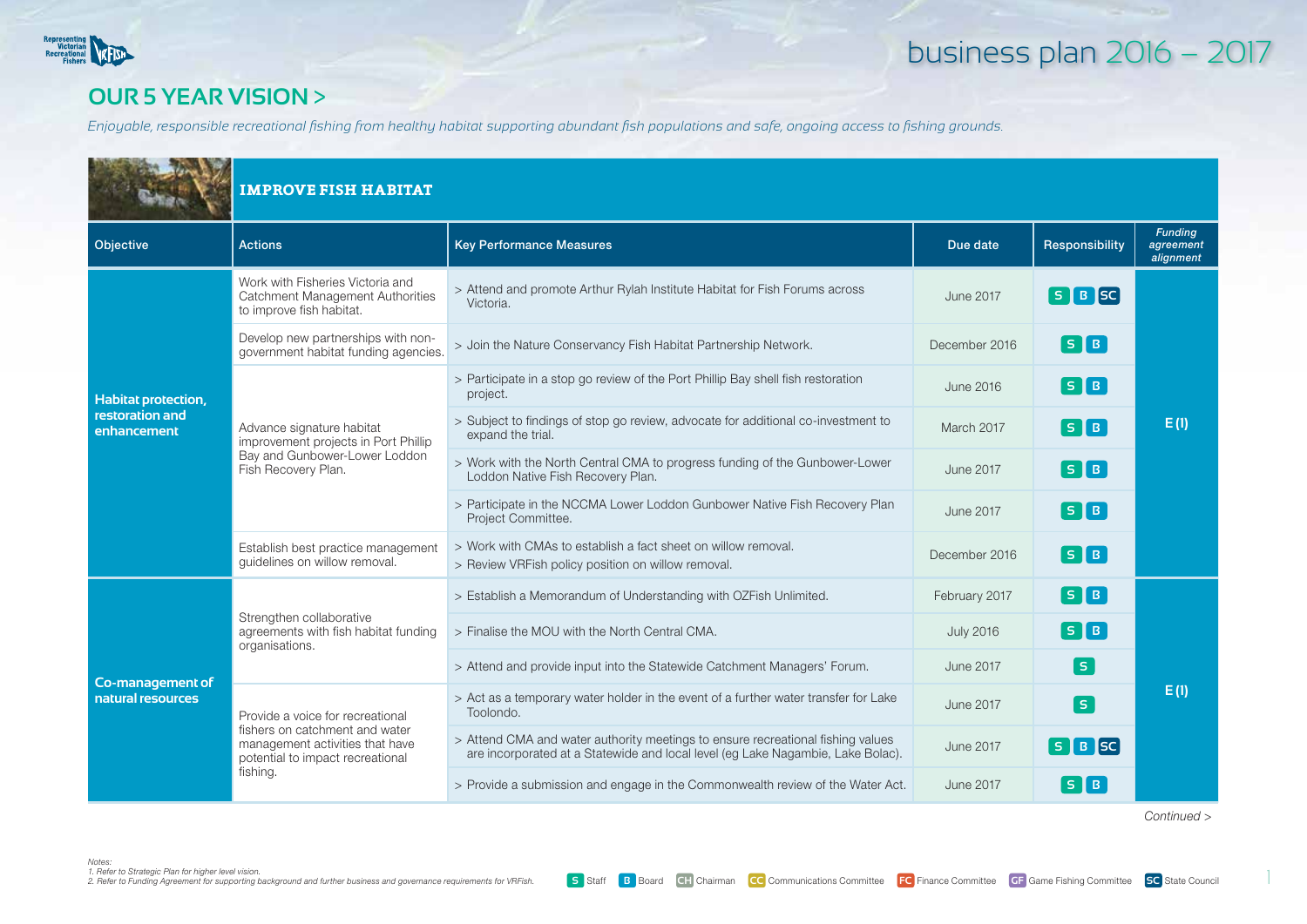

### **our 5 year vision** >

*Enjoyable, responsible recreational fishing from healthy habitat supporting abundant fish populations and safe, ongoing access to fishing grounds.*

|                                | <b>IMPROVE FISH HABITAT</b>                                                                                               |                                                                                                                                                                    |                  |                                           |                                          |  |
|--------------------------------|---------------------------------------------------------------------------------------------------------------------------|--------------------------------------------------------------------------------------------------------------------------------------------------------------------|------------------|-------------------------------------------|------------------------------------------|--|
| Objective                      | <b>Actions</b>                                                                                                            | <b>Key Performance Measures</b>                                                                                                                                    | Due date         | Responsibility                            | <b>Funding</b><br>agreement<br>alignment |  |
|                                | Work with Fisheries Victoria and<br>Catchment Management Authorities<br>to improve fish habitat.                          | > Attend and promote Arthur Rylah Institute Habitat for Fish Forums across<br>Victoria.                                                                            | <b>June 2017</b> | $S$ $B$ $SC$                              |                                          |  |
|                                | Develop new partnerships with non-<br>government habitat funding agencies.                                                | > Join the Nature Conservancy Fish Habitat Partnership Network.                                                                                                    | December 2016    | $\boxed{\mathsf{s}}$ $\boxed{\mathsf{B}}$ |                                          |  |
| <b>Habitat protection,</b>     |                                                                                                                           | > Participate in a stop go review of the Port Phillip Bay shell fish restoration<br>project.                                                                       | June 2016        | $\boxed{\mathsf{S}}\boxed{\mathsf{B}}$    |                                          |  |
| restoration and<br>enhancement | Advance signature habitat<br>improvement projects in Port Phillip<br>Bay and Gunbower-Lower Loddon<br>Fish Recovery Plan. | > Subject to findings of stop go review, advocate for additional co-investment to<br>expand the trial.                                                             | March 2017       | $\lceil s \rceil$ B $\rceil$              | E(1)                                     |  |
|                                |                                                                                                                           | > Work with the North Central CMA to progress funding of the Gunbower-Lower<br>Loddon Native Fish Recovery Plan.                                                   | <b>June 2017</b> | $\lceil s \rceil$ B                       |                                          |  |
|                                |                                                                                                                           | > Participate in the NCCMA Lower Loddon Gunbower Native Fish Recovery Plan<br>Project Committee.                                                                   | <b>June 2017</b> | $\lceil s \rceil$ B $\rceil$              |                                          |  |
|                                | Establish best practice management<br>quidelines on willow removal.                                                       | > Work with CMAs to establish a fact sheet on willow removal.<br>> Review VRFish policy position on willow removal.                                                | December 2016    | $S$ $B$                                   |                                          |  |
|                                |                                                                                                                           | > Establish a Memorandum of Understanding with OZFish Unlimited.                                                                                                   | February 2017    | $\boxed{\mathsf{S}}$ $\boxed{\mathsf{B}}$ |                                          |  |
|                                | Strengthen collaborative<br>agreements with fish habitat funding<br>organisations.                                        | > Finalise the MOU with the North Central CMA.                                                                                                                     | <b>July 2016</b> | $\lceil s \rceil$ B $\rceil$              |                                          |  |
| Co-management of               |                                                                                                                           | > Attend and provide input into the Statewide Catchment Managers' Forum.                                                                                           | <b>June 2017</b> | S.                                        |                                          |  |
| natural resources              | Provide a voice for recreational                                                                                          | > Act as a temporary water holder in the event of a further water transfer for Lake<br>Toolondo.                                                                   | <b>June 2017</b> | S.                                        | E(1)                                     |  |
|                                | fishers on catchment and water<br>management activities that have<br>potential to impact recreational                     | > Attend CMA and water authority meetings to ensure recreational fishing values<br>are incorporated at a Statewide and local level (eg Lake Nagambie, Lake Bolac). | <b>June 2017</b> | $S$ $B$ $SC$                              |                                          |  |
|                                | fishing.                                                                                                                  | > Provide a submission and engage in the Commonwealth review of the Water Act.                                                                                     | June 2017        | $S$ B                                     |                                          |  |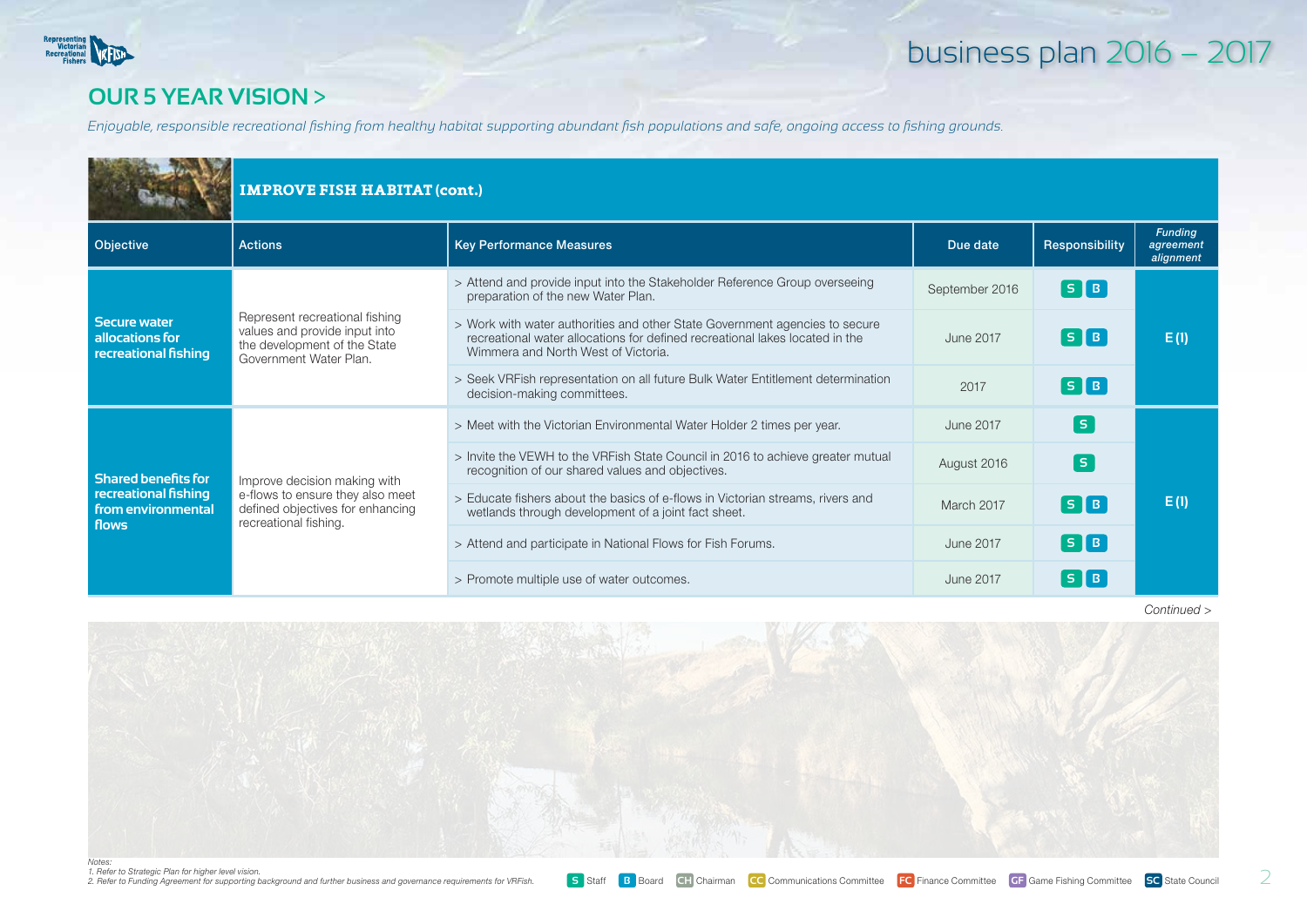

### **our 5 year vision** >

*Enjoyable, responsible recreational fishing from healthy habitat supporting abundant fish populations and safe, ongoing access to fishing grounds.*

|                                                                | <b>IMPROVE FISH HABITAT (cont.)</b>                                                                                       |                                                                                                                                                                                                    |                |                                       |                                          |  |  |
|----------------------------------------------------------------|---------------------------------------------------------------------------------------------------------------------------|----------------------------------------------------------------------------------------------------------------------------------------------------------------------------------------------------|----------------|---------------------------------------|------------------------------------------|--|--|
| Objective                                                      | <b>Actions</b>                                                                                                            | <b>Key Performance Measures</b>                                                                                                                                                                    | Due date       | Responsibility                        | <b>Funding</b><br>agreement<br>alignment |  |  |
|                                                                |                                                                                                                           | > Attend and provide input into the Stakeholder Reference Group overseeing<br>preparation of the new Water Plan.                                                                                   | September 2016 | $\lceil s \rceil$ B $\rceil$          |                                          |  |  |
| <b>Secure water</b><br>allocations for<br>recreational fishing | Represent recreational fishing<br>values and provide input into<br>the development of the State<br>Government Water Plan. | > Work with water authorities and other State Government agencies to secure<br>recreational water allocations for defined recreational lakes located in the<br>Wimmera and North West of Victoria. | June 2017      | $\lceil s \rceil$ B $\rfloor$         | E(1)                                     |  |  |
|                                                                |                                                                                                                           | > Seek VRFish representation on all future Bulk Water Entitlement determination<br>decision-making committees.                                                                                     | 2017           | $\lceil s \rceil$ B $\rceil$          |                                          |  |  |
|                                                                | Improve decision making with                                                                                              | > Meet with the Victorian Environmental Water Holder 2 times per year.                                                                                                                             | June 2017      | l si                                  |                                          |  |  |
| <b>Shared benefits for</b>                                     |                                                                                                                           | > Invite the VEWH to the VRFish State Council in 2016 to achieve greater mutual<br>recognition of our shared values and objectives.                                                                | August 2016    | s                                     |                                          |  |  |
| recreational fishing<br>from environmental<br>flows            | e-flows to ensure they also meet<br>defined objectives for enhancing<br>recreational fishing.                             | > Educate fishers about the basics of e-flows in Victorian streams, rivers and<br>wetlands through development of a joint fact sheet.                                                              | March 2017     | $\begin{bmatrix} 5 & B \end{bmatrix}$ | E(1)                                     |  |  |
|                                                                |                                                                                                                           | > Attend and participate in National Flows for Fish Forums.                                                                                                                                        | June 2017      | $\lceil s \rceil$ B $\rceil$          |                                          |  |  |
|                                                                |                                                                                                                           | > Promote multiple use of water outcomes.                                                                                                                                                          | June 2017      | $S$ $B$                               |                                          |  |  |

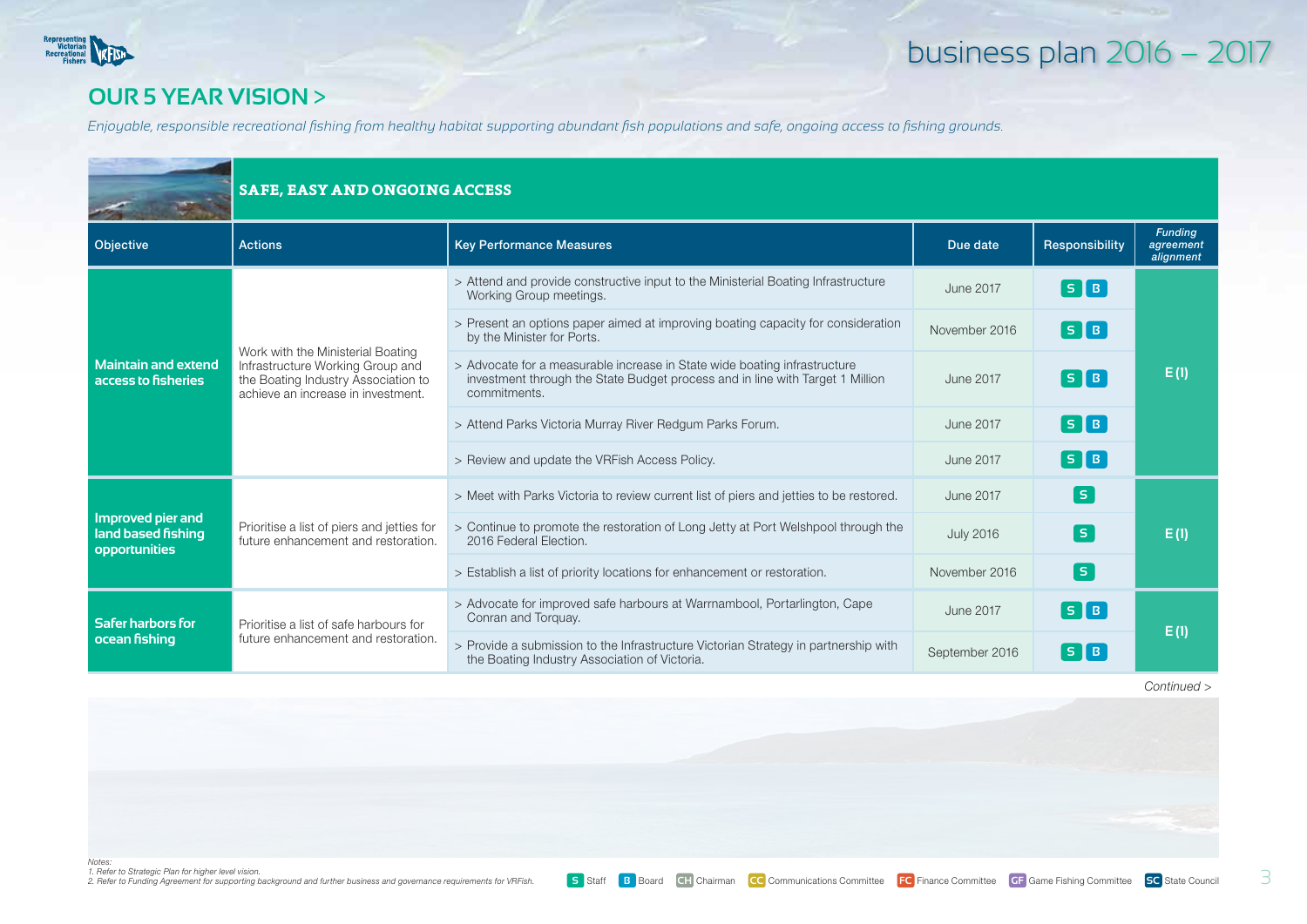

#### **our 5 year vision** >

*Enjoyable, responsible recreational fishing from healthy habitat supporting abundant fish populations and safe, ongoing access to fishing grounds.*

|                                                                 |                                                                                                                                                    | <b>SAFE, EASY AND ONGOING ACCESS</b>                                                                                                                                       |                  |                                        |                                          |  |  |  |
|-----------------------------------------------------------------|----------------------------------------------------------------------------------------------------------------------------------------------------|----------------------------------------------------------------------------------------------------------------------------------------------------------------------------|------------------|----------------------------------------|------------------------------------------|--|--|--|
| Objective                                                       | <b>Actions</b>                                                                                                                                     | <b>Key Performance Measures</b>                                                                                                                                            | Due date         | Responsibility                         | <b>Funding</b><br>agreement<br>alignment |  |  |  |
|                                                                 |                                                                                                                                                    | > Attend and provide constructive input to the Ministerial Boating Infrastructure<br>Working Group meetings.                                                               | <b>June 2017</b> | $\lceil s \rceil$ B $\rceil$           |                                          |  |  |  |
| <b>Maintain and extend</b><br>access to fisheries               |                                                                                                                                                    | > Present an options paper aimed at improving boating capacity for consideration<br>by the Minister for Ports.                                                             | November 2016    | $\boxed{\mathsf{s}}\boxed{\mathsf{B}}$ |                                          |  |  |  |
|                                                                 | Work with the Ministerial Boating<br>Infrastructure Working Group and<br>the Boating Industry Association to<br>achieve an increase in investment. | > Advocate for a measurable increase in State wide boating infrastructure<br>investment through the State Budget process and in line with Target 1 Million<br>commitments. | <b>June 2017</b> | $\lceil 5 \rceil B \rceil$             | E(1)                                     |  |  |  |
|                                                                 |                                                                                                                                                    | > Attend Parks Victoria Murray River Redgum Parks Forum.                                                                                                                   | <b>June 2017</b> | $\lceil s \rceil$ B $\rceil$           |                                          |  |  |  |
|                                                                 |                                                                                                                                                    | > Review and update the VRFish Access Policy.                                                                                                                              | <b>June 2017</b> | $\lceil s \rceil$ B                    |                                          |  |  |  |
|                                                                 | Prioritise a list of piers and jetties for<br>future enhancement and restoration.                                                                  | > Meet with Parks Victoria to review current list of piers and jetties to be restored.                                                                                     | <b>June 2017</b> | [ s ]                                  |                                          |  |  |  |
| Improved pier and<br>land based fishing<br><b>opportunities</b> |                                                                                                                                                    | > Continue to promote the restoration of Long Jetty at Port Welshpool through the<br>2016 Federal Election.                                                                | <b>July 2016</b> | s                                      | E(1)                                     |  |  |  |
|                                                                 |                                                                                                                                                    | > Establish a list of priority locations for enhancement or restoration.                                                                                                   | November 2016    | s                                      |                                          |  |  |  |
| Safer harbors for<br>ocean fishing                              | Prioritise a list of safe harbours for                                                                                                             | > Advocate for improved safe harbours at Warrnambool, Portarlington, Cape<br>Conran and Torquay.                                                                           | <b>June 2017</b> | $S$ $B$                                | E(1)                                     |  |  |  |
|                                                                 | future enhancement and restoration.                                                                                                                | > Provide a submission to the Infrastructure Victorian Strategy in partnership with<br>the Boating Industry Association of Victoria.                                       | September 2016   | $S$ $B$                                |                                          |  |  |  |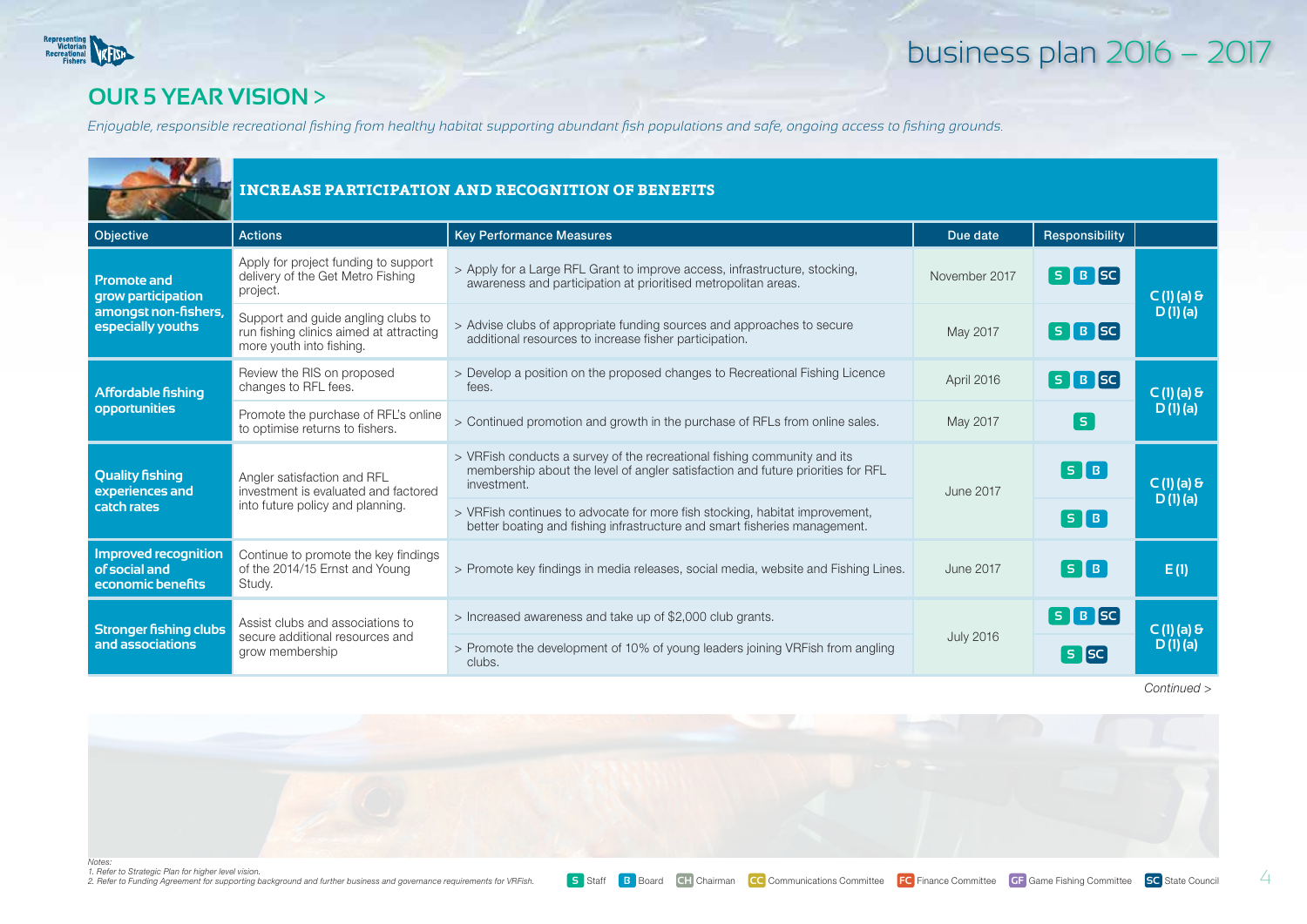

#### **our 5 year vision** >

*Enjoyable, responsible recreational fishing from healthy habitat supporting abundant fish populations and safe, ongoing access to fishing grounds.*

|                                                                                       | <b>INCREASE PARTICIPATION AND RECOGNITION OF BENEFITS</b>                                                 |                                                                                                                                                                            |                  |                                                     |                         |  |
|---------------------------------------------------------------------------------------|-----------------------------------------------------------------------------------------------------------|----------------------------------------------------------------------------------------------------------------------------------------------------------------------------|------------------|-----------------------------------------------------|-------------------------|--|
| Objective                                                                             | <b>Actions</b>                                                                                            | <b>Key Performance Measures</b>                                                                                                                                            | Due date         | Responsibility                                      |                         |  |
| <b>Promote and</b><br>grow participation<br>amongst non-fishers,<br>especially youths | Apply for project funding to support<br>delivery of the Get Metro Fishing<br>project.                     | > Apply for a Large RFL Grant to improve access, infrastructure, stocking,<br>awareness and participation at prioritised metropolitan areas.                               | November 2017    | $S$ $B$ $SC$                                        | $C(1)$ (a) &<br>D(1)(a) |  |
|                                                                                       | Support and guide angling clubs to<br>run fishing clinics aimed at attracting<br>more youth into fishing. | > Advise clubs of appropriate funding sources and approaches to secure<br>additional resources to increase fisher participation.                                           | May 2017         | $S$ $B$ $SC$                                        |                         |  |
| <b>Affordable fishing</b><br>opportunities                                            | Review the RIS on proposed<br>changes to RFL fees.                                                        | > Develop a position on the proposed changes to Recreational Fishing Licence<br>fees.                                                                                      | April 2016       | $S$ $B$ $SC$                                        | $C(1)$ (a) &<br>D(1)(a) |  |
|                                                                                       | Promote the purchase of RFL's online<br>to optimise returns to fishers.                                   | > Continued promotion and growth in the purchase of RFLs from online sales.                                                                                                | May 2017         | s                                                   |                         |  |
| <b>Quality fishing</b><br>experiences and                                             | Angler satisfaction and RFL<br>investment is evaluated and factored                                       | > VRFish conducts a survey of the recreational fishing community and its<br>membership about the level of angler satisfaction and future priorities for RFL<br>investment. | <b>June 2017</b> | $\boxed{5}$ $\boxed{B}$                             | $C(1)$ (a) &<br>D(1)(a) |  |
| catch rates                                                                           | into future policy and planning.                                                                          | > VRFish continues to advocate for more fish stocking, habitat improvement,<br>better boating and fishing infrastructure and smart fisheries management.                   |                  | $\left[\begin{array}{ccc} 5 & B \end{array}\right]$ |                         |  |
| Improved recognition<br>of social and<br>economic benefits                            | Continue to promote the key findings<br>of the 2014/15 Ernst and Young<br>Study.                          | > Promote key findings in media releases, social media, website and Fishing Lines.                                                                                         | June 2017        | [ S <b>[</b> B ]                                    | E(1)                    |  |
| <b>Stronger fishing clubs</b>                                                         | Assist clubs and associations to                                                                          | > Increased awareness and take up of \$2,000 club grants.                                                                                                                  |                  | $[S \mid B]$ SC                                     | C(1)(a) 8               |  |
| and associations                                                                      | secure additional resources and<br>grow membership                                                        | > Promote the development of 10% of young leaders joining VRFish from angling<br>clubs.                                                                                    | <b>July 2016</b> | <b>S</b> SC                                         | D(1)(a)                 |  |

*Continued >*



*Notes: 1. Refer to Strategic Plan for higher level vision. 2. Refer to Funding Agreement for supporting background and further business and governance requirements for VRFish.*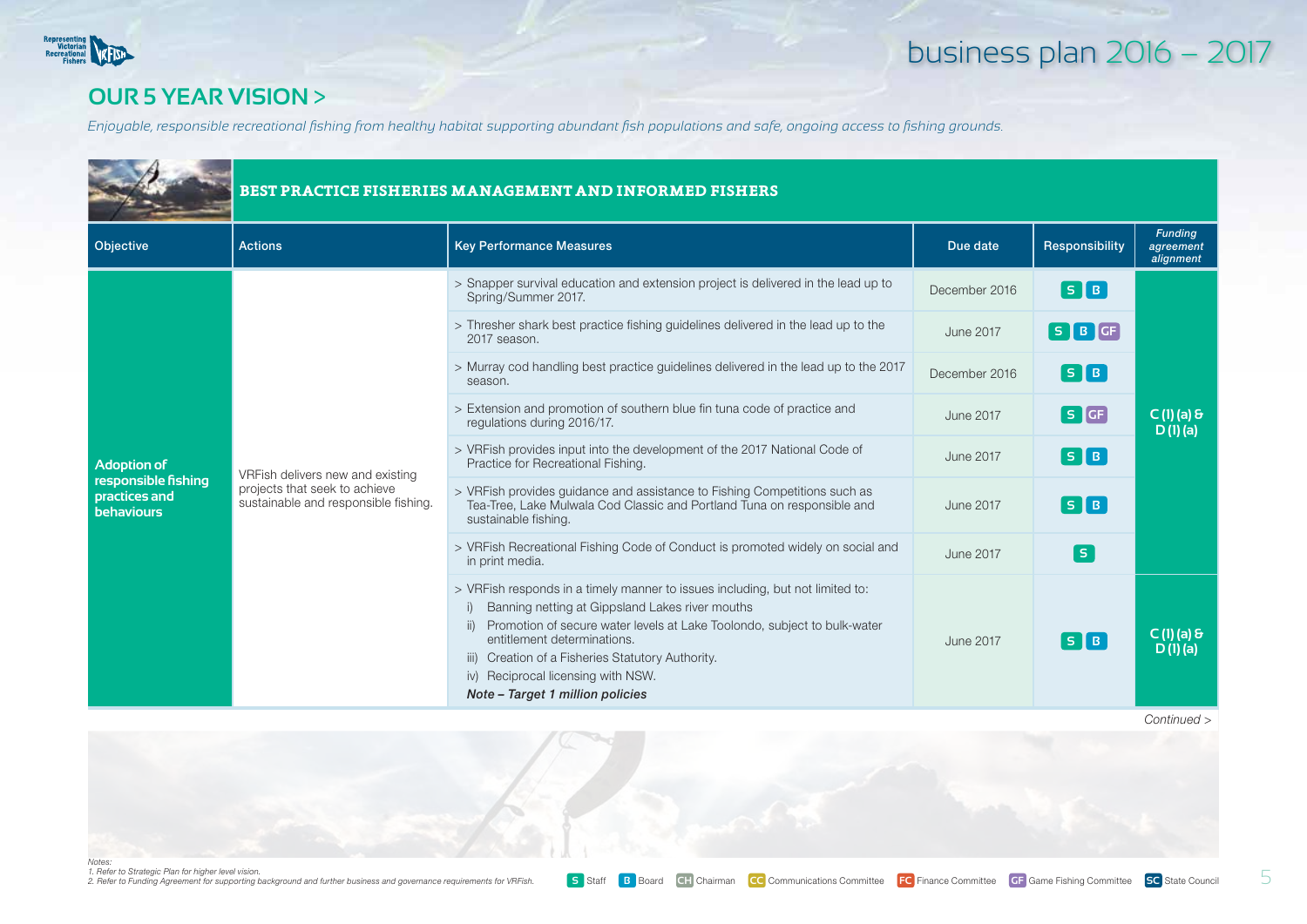

#### **our 5 year vision** >

*Enjoyable, responsible recreational fishing from healthy habitat supporting abundant fish populations and safe, ongoing access to fishing grounds.*

|                                                           |                                                                       | BEST PRACTICE FISHERIES MANAGEMENT AND INFORMED FISHERS                                                                                                                                                                                                                                                                                                                                 |                  |                                       |                                          |  |  |  |
|-----------------------------------------------------------|-----------------------------------------------------------------------|-----------------------------------------------------------------------------------------------------------------------------------------------------------------------------------------------------------------------------------------------------------------------------------------------------------------------------------------------------------------------------------------|------------------|---------------------------------------|------------------------------------------|--|--|--|
| Objective                                                 | <b>Actions</b>                                                        | <b>Key Performance Measures</b>                                                                                                                                                                                                                                                                                                                                                         | Due date         | Responsibility                        | <b>Funding</b><br>agreement<br>alignment |  |  |  |
|                                                           |                                                                       | > Snapper survival education and extension project is delivered in the lead up to<br>Spring/Summer 2017.                                                                                                                                                                                                                                                                                | December 2016    | $S$ $B$                               |                                          |  |  |  |
|                                                           |                                                                       | > Thresher shark best practice fishing guidelines delivered in the lead up to the<br>2017 season.                                                                                                                                                                                                                                                                                       | June 2017        | $S$ $B$ $GF$                          |                                          |  |  |  |
|                                                           |                                                                       | > Murray cod handling best practice guidelines delivered in the lead up to the 2017<br>season.                                                                                                                                                                                                                                                                                          | December 2016    | $\lceil s \rceil$ B $\rceil$          |                                          |  |  |  |
|                                                           |                                                                       | > Extension and promotion of southern blue fin tuna code of practice and<br>regulations during 2016/17.                                                                                                                                                                                                                                                                                 | <b>June 2017</b> | $S$ $GF$                              | $C(1)$ (a) &<br>D(1)(a)                  |  |  |  |
| <b>Adoption of</b>                                        | VRFish delivers new and existing                                      | > VRFish provides input into the development of the 2017 National Code of<br>Practice for Recreational Fishing.                                                                                                                                                                                                                                                                         | June 2017        | $\begin{bmatrix} 5 & B \end{bmatrix}$ |                                          |  |  |  |
| responsible fishing<br>practices and<br><b>behaviours</b> | projects that seek to achieve<br>sustainable and responsible fishing. | > VRFish provides guidance and assistance to Fishing Competitions such as<br>Tea-Tree, Lake Mulwala Cod Classic and Portland Tuna on responsible and<br>sustainable fishing.                                                                                                                                                                                                            | <b>June 2017</b> | S[B]                                  |                                          |  |  |  |
|                                                           |                                                                       | > VRFish Recreational Fishing Code of Conduct is promoted widely on social and<br>in print media.                                                                                                                                                                                                                                                                                       | <b>June 2017</b> | [ s ]                                 |                                          |  |  |  |
|                                                           |                                                                       | > VRFish responds in a timely manner to issues including, but not limited to:<br>Banning netting at Gippsland Lakes river mouths<br>i)<br>Promotion of secure water levels at Lake Toolondo, subject to bulk-water<br>ii)<br>entitlement determinations.<br>iii) Creation of a Fisheries Statutory Authority.<br>iv) Reciprocal licensing with NSW.<br>Note - Target 1 million policies | <b>June 2017</b> | $\begin{bmatrix} 5 & B \end{bmatrix}$ | $C(1)$ (a) &<br>$D(1)$ (a)               |  |  |  |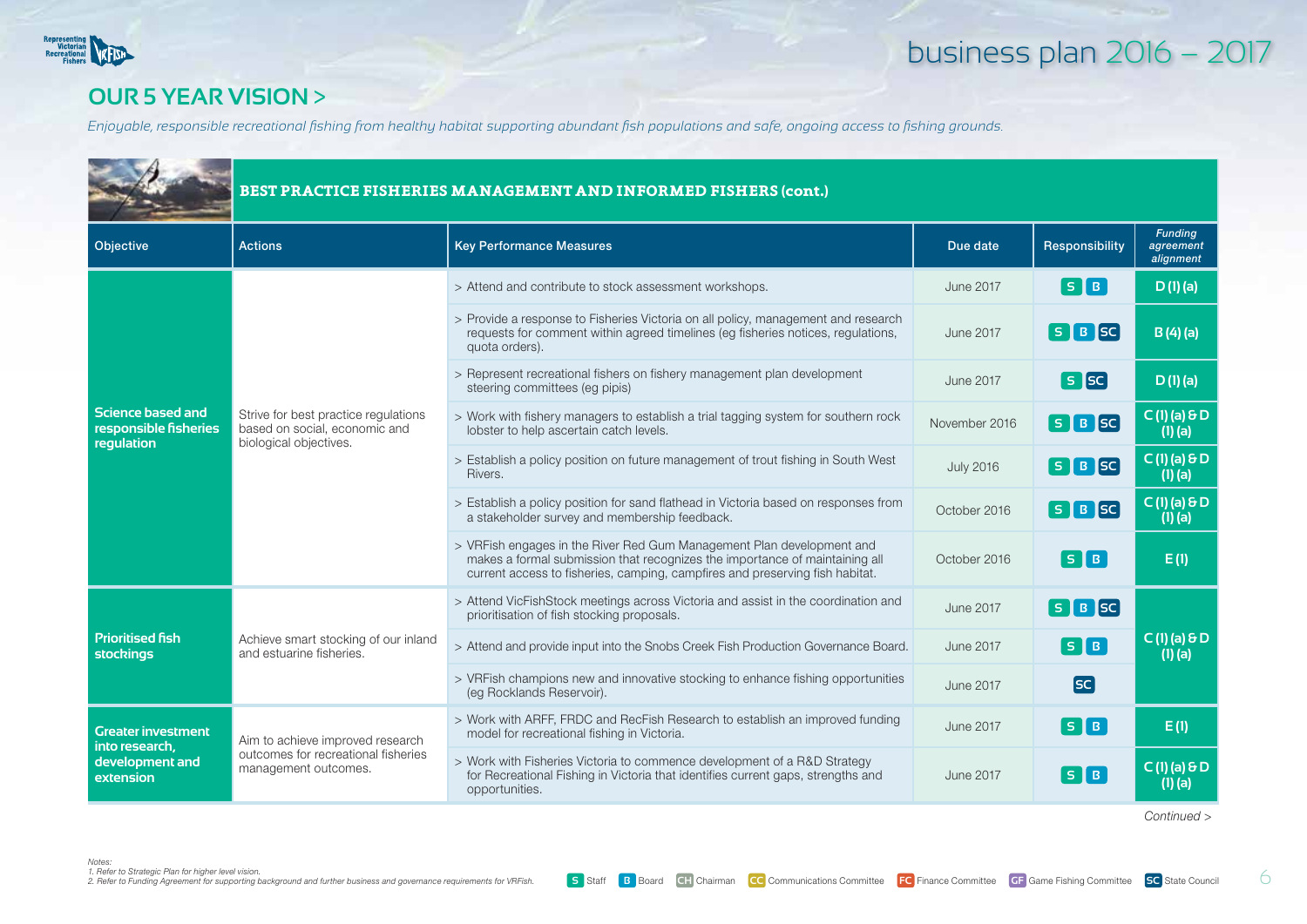

#### **our 5 year vision** >

*Enjoyable, responsible recreational fishing from healthy habitat supporting abundant fish populations and safe, ongoing access to fishing grounds.*

|                                                                        |                                                                                                 | BEST PRACTICE FISHERIES MANAGEMENT AND INFORMED FISHERS (cont.)                                                                                                                                                                      |                  |                                                       |                                          |
|------------------------------------------------------------------------|-------------------------------------------------------------------------------------------------|--------------------------------------------------------------------------------------------------------------------------------------------------------------------------------------------------------------------------------------|------------------|-------------------------------------------------------|------------------------------------------|
| <b>Objective</b>                                                       | <b>Actions</b>                                                                                  | <b>Key Performance Measures</b>                                                                                                                                                                                                      | Due date         | Responsibility                                        | <b>Funding</b><br>agreement<br>alignment |
|                                                                        |                                                                                                 | > Attend and contribute to stock assessment workshops.                                                                                                                                                                               | <b>June 2017</b> | $\lceil$ S $\lceil$ B $\rceil$                        | D(1)(a)                                  |
|                                                                        |                                                                                                 | > Provide a response to Fisheries Victoria on all policy, management and research<br>requests for comment within agreed timelines (eq fisheries notices, requlations,<br>quota orders).                                              | <b>June 2017</b> | $S$ $B$ $SC$                                          | B(4)(a)                                  |
|                                                                        |                                                                                                 | > Represent recreational fishers on fishery management plan development<br>steering committees (eg pipis)                                                                                                                            | <b>June 2017</b> | <b>S</b> [sc]                                         | D(1)(a)                                  |
| <b>Science based and</b><br>responsible fisheries<br><b>requlation</b> | Strive for best practice regulations<br>based on social, economic and<br>biological objectives. | > Work with fishery managers to establish a trial tagging system for southern rock<br>lobster to help ascertain catch levels.                                                                                                        | November 2016    | $S$ $B$ $SC$                                          | $\overline{C(1)}$ (a) & D<br>$(1)$ $(a)$ |
|                                                                        |                                                                                                 | > Establish a policy position on future management of trout fishing in South West<br>Rivers.                                                                                                                                         | <b>July 2016</b> | $S$ $B$ $SC$                                          | $C(1)$ (a) $\theta D$<br>$(1)$ $(a)$     |
|                                                                        |                                                                                                 | > Establish a policy position for sand flathead in Victoria based on responses from<br>a stakeholder survey and membership feedback.                                                                                                 | October 2016     | $S$ $B$ $SC$                                          | $C(1)$ (a) $\theta D$<br>$(1)$ (a)       |
|                                                                        |                                                                                                 | > VRFish engages in the River Red Gum Management Plan development and<br>makes a formal submission that recognizes the importance of maintaining all<br>current access to fisheries, camping, campfires and preserving fish habitat. | October 2016     | $\overline{\phantom{a}}$ S $\overline{\phantom{a}}$ B | E(1)                                     |
|                                                                        |                                                                                                 | > Attend VicFishStock meetings across Victoria and assist in the coordination and<br>prioritisation of fish stocking proposals.                                                                                                      | <b>June 2017</b> | $S$ $B$ $SC$                                          |                                          |
| <b>Prioritised fish</b><br><b>stockings</b>                            | Achieve smart stocking of our inland<br>and estuarine fisheries.                                | > Attend and provide input into the Snobs Creek Fish Production Governance Board.                                                                                                                                                    | <b>June 2017</b> | $\lceil s \rceil$ B $\rceil$                          | $C(1)$ (a) $\theta D$<br>$(1)$ (a)       |
|                                                                        |                                                                                                 | > VRFish champions new and innovative stocking to enhance fishing opportunities<br>(eq Rocklands Reservoir).                                                                                                                         | <b>June 2017</b> | <b>SC</b>                                             |                                          |
| <b>Greater investment</b><br>into research,                            | Aim to achieve improved research                                                                | > Work with ARFF, FRDC and RecFish Research to establish an improved funding<br>model for recreational fishing in Victoria.                                                                                                          | <b>June 2017</b> | $\overline{\phantom{a}}$ S $\overline{\phantom{a}}$ B | E(1)                                     |
| development and<br>extension                                           | outcomes for recreational fisheries<br>management outcomes.                                     | > Work with Fisheries Victoria to commence development of a R&D Strategy<br>for Recreational Fishing in Victoria that identifies current gaps, strengths and<br>opportunities.                                                       | <b>June 2017</b> | $\lceil$ S $\lceil$ B $\rceil$                        | $C(1)$ (a) $\theta D$<br>$(1)$ (a)       |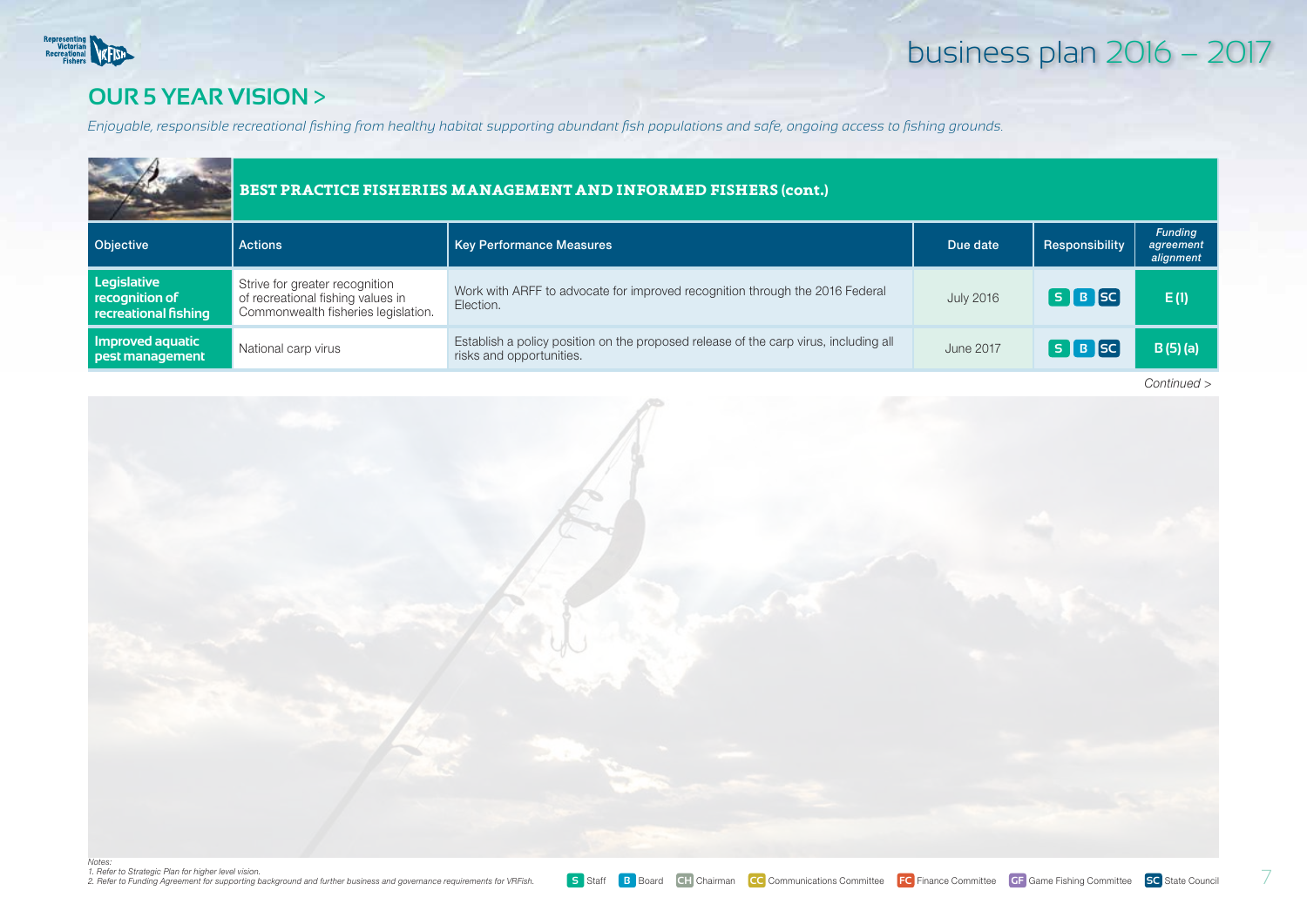

#### **our 5 year vision** >

*Enjoyable, responsible recreational fishing from healthy habitat supporting abundant fish populations and safe, ongoing access to fishing grounds.*

|                                                                      |                                                                                                            | BEST PRACTICE FISHERIES MANAGEMENT AND INFORMED FISHERS (cont.)                                                  |                  |                |                                          |  |  |  |
|----------------------------------------------------------------------|------------------------------------------------------------------------------------------------------------|------------------------------------------------------------------------------------------------------------------|------------------|----------------|------------------------------------------|--|--|--|
| <b>Objective</b>                                                     | <b>Actions</b>                                                                                             | <b>Key Performance Measures</b>                                                                                  | Due date         | Responsibility | <b>Funding</b><br>agreement<br>alignment |  |  |  |
| Legislative<br>$\blacksquare$ recognition of<br>recreational fishing | Strive for greater recognition<br>of recreational fishing values in<br>Commonwealth fisheries legislation. | Work with ARFF to advocate for improved recognition through the 2016 Federal<br>Election.                        | <b>July 2016</b> | $S$ $B$ $SC$   | E(1)                                     |  |  |  |
| Improved aquatic<br>pest management                                  | National carp virus                                                                                        | Establish a policy position on the proposed release of the carp virus, including all<br>risks and opportunities. | June 2017        | $S$ $B$ $SC$   | $B(5)$ (a)                               |  |  |  |

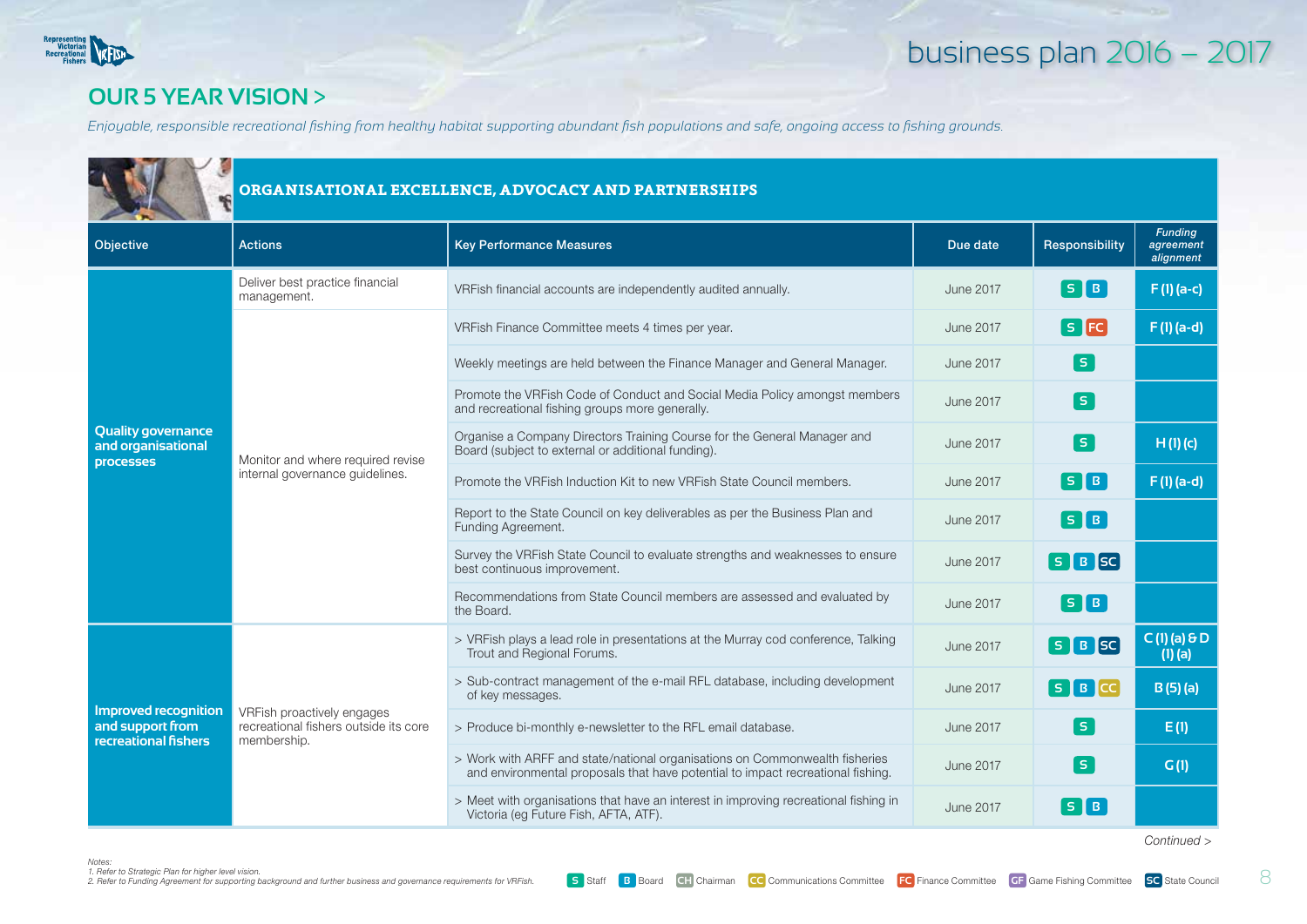

#### **our 5 year vision** >

*Enjoyable, responsible recreational fishing from healthy habitat supporting abundant fish populations and safe, ongoing access to fishing grounds.*

|                                                                         |                                                                                    | ORGANISATIONAL EXCELLENCE, ADVOCACY AND PARTNERSHIPS                                                                                                           |                  |                                                       |                                          |  |  |  |
|-------------------------------------------------------------------------|------------------------------------------------------------------------------------|----------------------------------------------------------------------------------------------------------------------------------------------------------------|------------------|-------------------------------------------------------|------------------------------------------|--|--|--|
| Objective                                                               | <b>Actions</b>                                                                     | <b>Key Performance Measures</b>                                                                                                                                | Due date         | Responsibility                                        | <b>Funding</b><br>agreement<br>alignment |  |  |  |
|                                                                         | Deliver best practice financial<br>management.                                     | VRFish financial accounts are independently audited annually.                                                                                                  | <b>June 2017</b> | $\lceil s \rceil$ B $\rceil$                          | $F(1)(a-c)$                              |  |  |  |
| <b>Quality governance</b><br>and organisational<br><b>processes</b>     |                                                                                    | VRFish Finance Committee meets 4 times per year.                                                                                                               | <b>June 2017</b> | $[s]$ FC                                              | $F(1)(a-d)$                              |  |  |  |
|                                                                         |                                                                                    | Weekly meetings are held between the Finance Manager and General Manager.                                                                                      | <b>June 2017</b> | $\boxed{\mathsf{s}}$                                  |                                          |  |  |  |
|                                                                         |                                                                                    | Promote the VRFish Code of Conduct and Social Media Policy amongst members<br>and recreational fishing groups more generally.                                  | <b>June 2017</b> | [ s ]                                                 |                                          |  |  |  |
|                                                                         | Monitor and where required revise                                                  | Organise a Company Directors Training Course for the General Manager and<br>Board (subject to external or additional funding).                                 | <b>June 2017</b> | $\lceil s \rceil$                                     | H(1)(c)                                  |  |  |  |
|                                                                         | internal governance quidelines.                                                    | Promote the VRFish Induction Kit to new VRFish State Council members.                                                                                          | <b>June 2017</b> | $\overline{\phantom{a}}$ S $\overline{\phantom{a}}$ B | F(1)(a-d)                                |  |  |  |
|                                                                         |                                                                                    | Report to the State Council on key deliverables as per the Business Plan and<br>Funding Agreement.                                                             | <b>June 2017</b> | $\lceil s \rceil$ B $\rceil$                          |                                          |  |  |  |
|                                                                         |                                                                                    | Survey the VRFish State Council to evaluate strengths and weaknesses to ensure<br>best continuous improvement.                                                 | <b>June 2017</b> | $S$ $B$ $SC$                                          |                                          |  |  |  |
|                                                                         |                                                                                    | Recommendations from State Council members are assessed and evaluated by<br>the Board.                                                                         | <b>June 2017</b> | $\overline{\phantom{a}}$ S $\overline{\phantom{a}}$ B |                                          |  |  |  |
|                                                                         |                                                                                    | > VRFish plays a lead role in presentations at the Murray cod conference, Talking<br>Trout and Regional Forums.                                                | <b>June 2017</b> | $S$ $B$ $SC$                                          | $C(1)$ (a) $\theta D$<br>$(1)$ $(a)$     |  |  |  |
|                                                                         |                                                                                    | > Sub-contract management of the e-mail RFL database, including development<br>of key messages.                                                                | <b>June 2017</b> | $S$ $B$ $C$                                           | B(5)(a)                                  |  |  |  |
| <b>Improved recognition</b><br>and support from<br>recreational fishers | VRFish proactively engages<br>recreational fishers outside its core<br>membership. | > Produce bi-monthly e-newsletter to the RFL email database.                                                                                                   | <b>June 2017</b> | [ s ]                                                 | E(1)                                     |  |  |  |
|                                                                         |                                                                                    | > Work with ARFF and state/national organisations on Commonwealth fisheries<br>and environmental proposals that have potential to impact recreational fishing. | <b>June 2017</b> | [ s ]                                                 | G(1)                                     |  |  |  |
|                                                                         |                                                                                    | > Meet with organisations that have an interest in improving recreational fishing in<br>Victoria (eg Future Fish, AFTA, ATF).                                  | <b>June 2017</b> | $S$ B                                                 |                                          |  |  |  |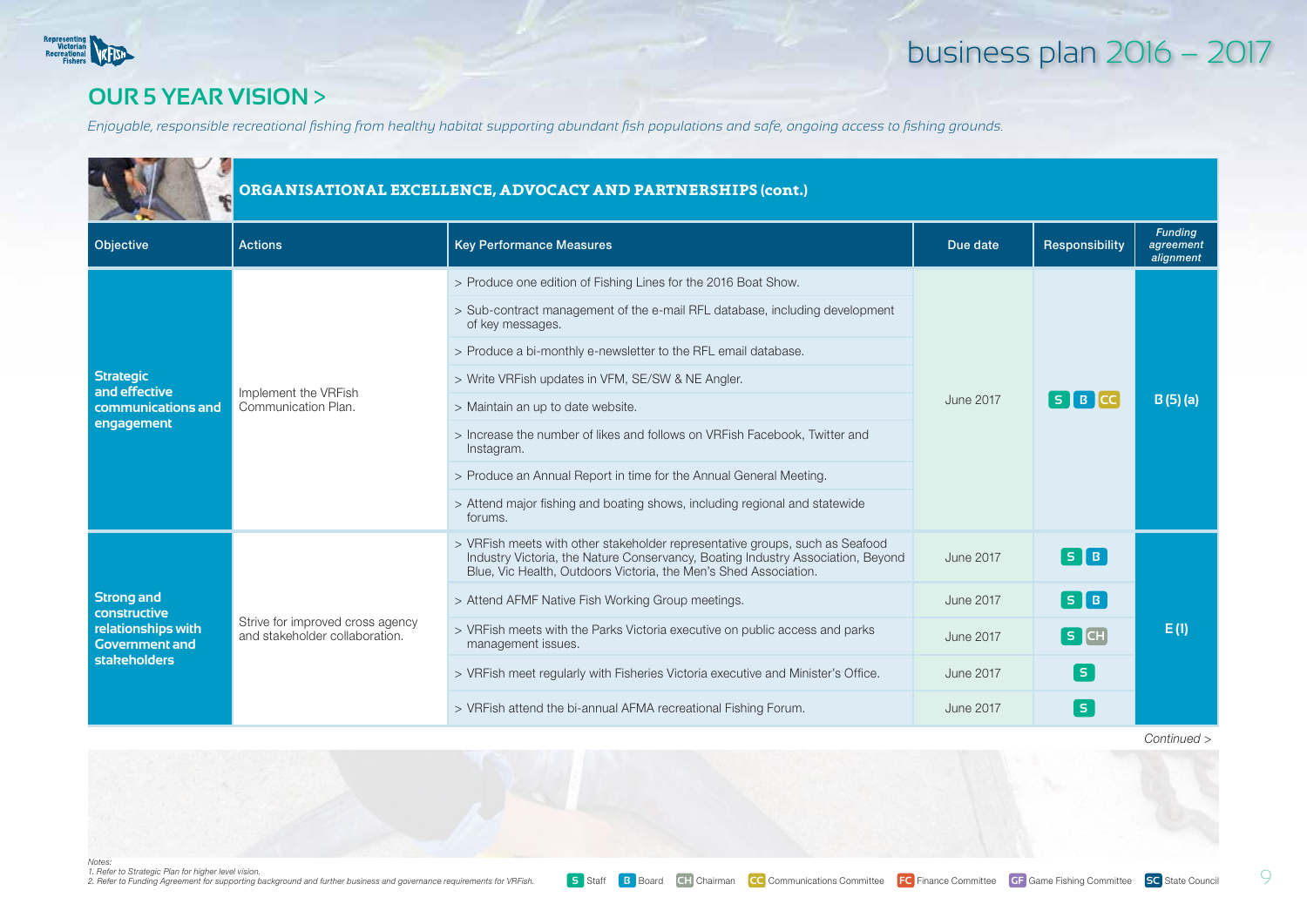

#### **our 5 year vision** >

*Enjoyable, responsible recreational fishing from healthy habitat supporting abundant fish populations and safe, ongoing access to fishing grounds.*

| ORGANISATIONAL EXCELLENCE, ADVOCACY AND PARTNERSHIPS (cont.) |                                                                    |                                                                                                                                                                                                                                     |                  |                              |                                          |  |
|--------------------------------------------------------------|--------------------------------------------------------------------|-------------------------------------------------------------------------------------------------------------------------------------------------------------------------------------------------------------------------------------|------------------|------------------------------|------------------------------------------|--|
| Objective                                                    | <b>Actions</b>                                                     | <b>Key Performance Measures</b>                                                                                                                                                                                                     | Due date         | Responsibility               | <b>Funding</b><br>agreement<br>alignment |  |
|                                                              |                                                                    | > Produce one edition of Fishing Lines for the 2016 Boat Show.                                                                                                                                                                      |                  |                              |                                          |  |
|                                                              |                                                                    | > Sub-contract management of the e-mail RFL database, including development<br>of key messages.                                                                                                                                     |                  | $S$ $B$ $C$                  | $B(5)$ (a)<br>E(1)                       |  |
|                                                              |                                                                    | > Produce a bi-monthly e-newsletter to the RFL email database.                                                                                                                                                                      |                  |                              |                                          |  |
| <b>Strategic</b><br>and effective                            | Implement the VRFish                                               | > Write VRFish updates in VFM, SE/SW & NE Angler.                                                                                                                                                                                   |                  |                              |                                          |  |
| communications and<br>engagement                             | Communication Plan.                                                | > Maintain an up to date website.                                                                                                                                                                                                   | June 2017        |                              |                                          |  |
|                                                              |                                                                    | > Increase the number of likes and follows on VRFish Facebook, Twitter and<br>Instagram.                                                                                                                                            |                  |                              |                                          |  |
|                                                              |                                                                    | > Produce an Annual Report in time for the Annual General Meeting.                                                                                                                                                                  |                  |                              |                                          |  |
|                                                              |                                                                    | > Attend major fishing and boating shows, including regional and statewide<br>forums.                                                                                                                                               |                  |                              |                                          |  |
|                                                              |                                                                    | > VRFish meets with other stakeholder representative groups, such as Seafood<br>Industry Victoria, the Nature Conservancy, Boating Industry Association, Beyond<br>Blue, Vic Health, Outdoors Victoria, the Men's Shed Association. | June 2017        | $\lceil s \rceil$ B $\rceil$ |                                          |  |
| <b>Strong and</b><br>constructive                            |                                                                    | > Attend AFMF Native Fish Working Group meetings.                                                                                                                                                                                   | June 2017        | $S$ $B$                      |                                          |  |
| relationships with<br><b>Government and</b>                  | Strive for improved cross agency<br>and stakeholder collaboration. | > VRFish meets with the Parks Victoria executive on public access and parks<br>management issues.                                                                                                                                   | <b>June 2017</b> | SCH                          |                                          |  |
| <b>stakeholders</b>                                          |                                                                    | > VRFish meet regularly with Fisheries Victoria executive and Minister's Office.                                                                                                                                                    | June 2017        | l si                         |                                          |  |
|                                                              |                                                                    | > VRFish attend the bi-annual AFMA recreational Fishing Forum.                                                                                                                                                                      | <b>June 2017</b> | l Si                         |                                          |  |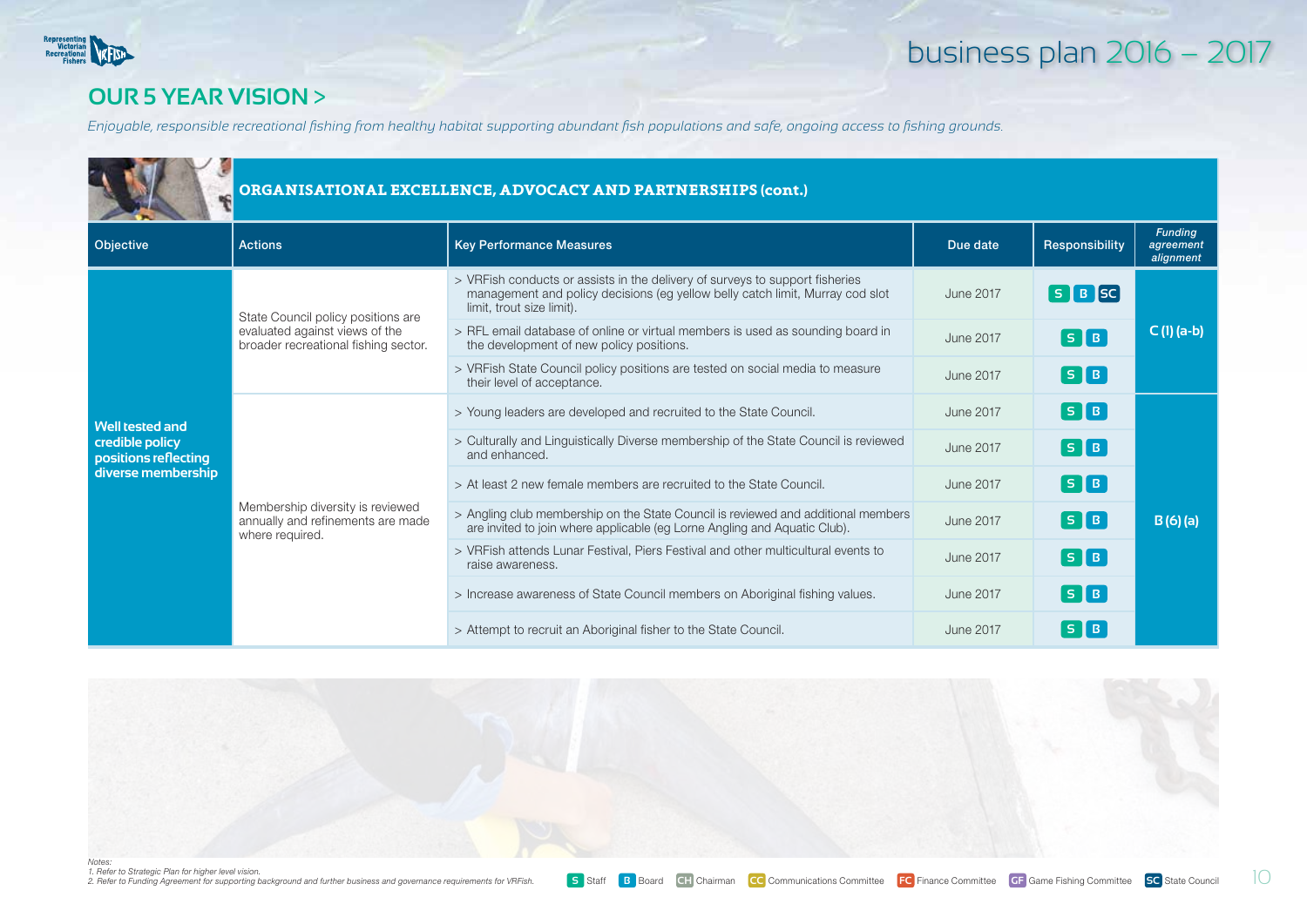

#### **our 5 year vision** >

*Enjoyable, responsible recreational fishing from healthy habitat supporting abundant fish populations and safe, ongoing access to fishing grounds.*

|                                         | ORGANISATIONAL EXCELLENCE, ADVOCACY AND PARTNERSHIPS (cont.)                             |                                                                                                                                                                                            |                  |                                |                                          |  |
|-----------------------------------------|------------------------------------------------------------------------------------------|--------------------------------------------------------------------------------------------------------------------------------------------------------------------------------------------|------------------|--------------------------------|------------------------------------------|--|
| Objective                               | <b>Actions</b>                                                                           | <b>Key Performance Measures</b>                                                                                                                                                            | Due date         | Responsibility                 | <b>Funding</b><br>agreement<br>alignment |  |
|                                         | State Council policy positions are                                                       | > VRFish conducts or assists in the delivery of surveys to support fisheries<br>management and policy decisions (eg yellow belly catch limit, Murray cod slot<br>limit, trout size limit). | June 2017        | $S$ $B$ $SC$                   |                                          |  |
|                                         | evaluated against views of the<br>broader recreational fishing sector.                   | > RFL email database of online or virtual members is used as sounding board in<br>the development of new policy positions.                                                                 | <b>June 2017</b> | $\lceil s \rceil$ B $\rceil$   | $C(1)$ (a-b)                             |  |
|                                         |                                                                                          | > VRFish State Council policy positions are tested on social media to measure<br>their level of acceptance.                                                                                | June 2017        | $\lceil s \rceil$ B $\rceil$   |                                          |  |
| <b>Well tested and</b>                  |                                                                                          | > Young leaders are developed and recruited to the State Council.                                                                                                                          | June 2017        | $\lceil$ S $\lceil$ B $\rceil$ |                                          |  |
| credible policy<br>positions reflecting |                                                                                          | > Culturally and Linguistically Diverse membership of the State Council is reviewed<br>and enhanced.                                                                                       | <b>June 2017</b> | $\lceil s \rceil$ B $\rceil$   |                                          |  |
| diverse membership                      |                                                                                          | > At least 2 new female members are recruited to the State Council.                                                                                                                        | June 2017        | [ S <b> </b> B                 | B(6)(a)                                  |  |
|                                         | Membership diversity is reviewed<br>annually and refinements are made<br>where required. | > Angling club membership on the State Council is reviewed and additional members<br>are invited to join where applicable (eg Lorne Angling and Aquatic Club).                             | <b>June 2017</b> | [ S <b> </b> B                 |                                          |  |
|                                         |                                                                                          | > VRFish attends Lunar Festival, Piers Festival and other multicultural events to<br>raise awareness.                                                                                      | <b>June 2017</b> | $\lceil s \rceil$ B $\rceil$   |                                          |  |
|                                         |                                                                                          | > Increase awareness of State Council members on Aboriginal fishing values.                                                                                                                | June 2017        | $\lceil s \rceil$ B $\rceil$   |                                          |  |
|                                         |                                                                                          | > Attempt to recruit an Aboriginal fisher to the State Council.                                                                                                                            | June 2017        | $S$ $B$                        |                                          |  |